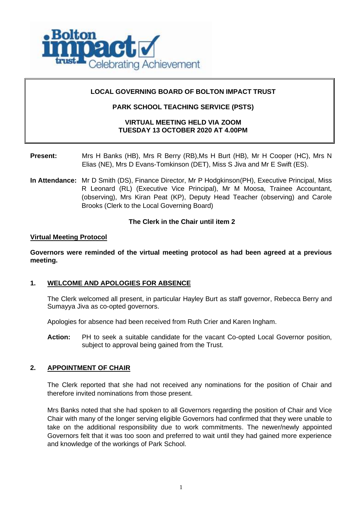

# **LOCAL GOVERNING BOARD OF BOLTON IMPACT TRUST**

# **PARK SCHOOL TEACHING SERVICE (PSTS)**

# **VIRTUAL MEETING HELD VIA ZOOM TUESDAY 13 OCTOBER 2020 AT 4.00PM**

# **Present:** Mrs H Banks (HB), Mrs R Berry (RB),Ms H Burt (HB), Mr H Cooper (HC), Mrs N Elias (NE), Mrs D Evans-Tomkinson (DET), Miss S Jiva and Mr E Swift (ES).

**In Attendance:** Mr D Smith (DS), Finance Director, Mr P Hodgkinson(PH), Executive Principal, Miss R Leonard (RL) (Executive Vice Principal), Mr M Moosa, Trainee Accountant, (observing), Mrs Kiran Peat (KP), Deputy Head Teacher (observing) and Carole Brooks (Clerk to the Local Governing Board)

### **The Clerk in the Chair until item 2**

### **Virtual Meeting Protocol**

**Governors were reminded of the virtual meeting protocol as had been agreed at a previous meeting.**

### **1. WELCOME AND APOLOGIES FOR ABSENCE**

The Clerk welcomed all present, in particular Hayley Burt as staff governor, Rebecca Berry and Sumayya Jiva as co-opted governors.

Apologies for absence had been received from Ruth Crier and Karen Ingham.

**Action:** PH to seek a suitable candidate for the vacant Co-opted Local Governor position, subject to approval being gained from the Trust.

### **2. APPOINTMENT OF CHAIR**

The Clerk reported that she had not received any nominations for the position of Chair and therefore invited nominations from those present.

Mrs Banks noted that she had spoken to all Governors regarding the position of Chair and Vice Chair with many of the longer serving eligible Governors had confirmed that they were unable to take on the additional responsibility due to work commitments. The newer/newly appointed Governors felt that it was too soon and preferred to wait until they had gained more experience and knowledge of the workings of Park School.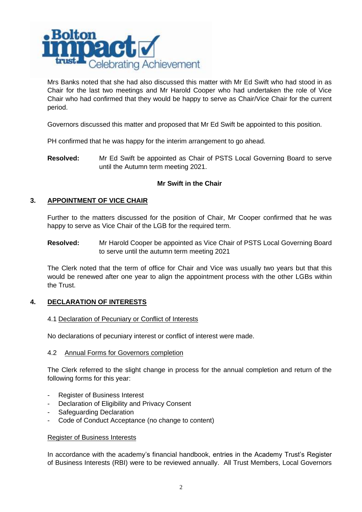

Mrs Banks noted that she had also discussed this matter with Mr Ed Swift who had stood in as Chair for the last two meetings and Mr Harold Cooper who had undertaken the role of Vice Chair who had confirmed that they would be happy to serve as Chair/Vice Chair for the current period.

Governors discussed this matter and proposed that Mr Ed Swift be appointed to this position.

PH confirmed that he was happy for the interim arrangement to go ahead.

**Resolved:** Mr Ed Swift be appointed as Chair of PSTS Local Governing Board to serve until the Autumn term meeting 2021.

### **Mr Swift in the Chair**

# **3. APPOINTMENT OF VICE CHAIR**

Further to the matters discussed for the position of Chair, Mr Cooper confirmed that he was happy to serve as Vice Chair of the LGB for the required term.

**Resolved:** Mr Harold Cooper be appointed as Vice Chair of PSTS Local Governing Board to serve until the autumn term meeting 2021

The Clerk noted that the term of office for Chair and Vice was usually two years but that this would be renewed after one year to align the appointment process with the other LGBs within the Trust.

### **4. DECLARATION OF INTERESTS**

### 4.1 Declaration of Pecuniary or Conflict of Interests

No declarations of pecuniary interest or conflict of interest were made.

#### 4.2 Annual Forms for Governors completion

The Clerk referred to the slight change in process for the annual completion and return of the following forms for this year:

- Register of Business Interest
- Declaration of Eligibility and Privacy Consent
- Safeguarding Declaration
- Code of Conduct Acceptance (no change to content)

#### Register of Business Interests

In accordance with the academy's financial handbook, entries in the Academy Trust's Register of Business Interests (RBI) were to be reviewed annually. All Trust Members, Local Governors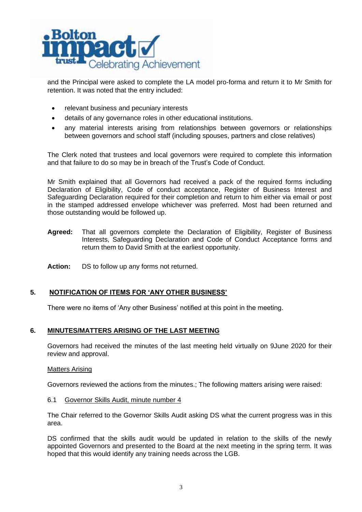

and the Principal were asked to complete the LA model pro-forma and return it to Mr Smith for retention. It was noted that the entry included:

- relevant business and pecuniary interests
- details of any governance roles in other educational institutions.
- any material interests arising from relationships between governors or relationships between governors and school staff (including spouses, partners and close relatives)

The Clerk noted that trustees and local governors were required to complete this information and that failure to do so may be in breach of the Trust's Code of Conduct.

Mr Smith explained that all Governors had received a pack of the required forms including Declaration of Eligibility, Code of conduct acceptance, Register of Business Interest and Safeguarding Declaration required for their completion and return to him either via email or post in the stamped addressed envelope whichever was preferred. Most had been returned and those outstanding would be followed up.

- **Agreed:** That all governors complete the Declaration of Eligibility, Register of Business Interests, Safeguarding Declaration and Code of Conduct Acceptance forms and return them to David Smith at the earliest opportunity.
- **Action:** DS to follow up any forms not returned.

### **5. NOTIFICATION OF ITEMS FOR 'ANY OTHER BUSINESS'**

There were no items of 'Any other Business' notified at this point in the meeting.

### **6. MINUTES/MATTERS ARISING OF THE LAST MEETING**

Governors had received the minutes of the last meeting held virtually on 9June 2020 for their review and approval.

#### Matters Arising

Governors reviewed the actions from the minutes.; The following matters arising were raised:

6.1 Governor Skills Audit, minute number 4

The Chair referred to the Governor Skills Audit asking DS what the current progress was in this area.

DS confirmed that the skills audit would be updated in relation to the skills of the newly appointed Governors and presented to the Board at the next meeting in the spring term. It was hoped that this would identify any training needs across the LGB.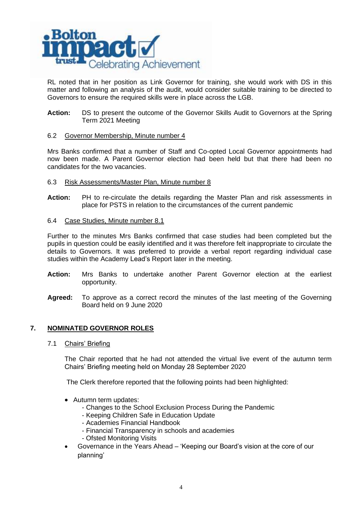

RL noted that in her position as Link Governor for training, she would work with DS in this matter and following an analysis of the audit, would consider suitable training to be directed to Governors to ensure the required skills were in place across the LGB.

**Action:** DS to present the outcome of the Governor Skills Audit to Governors at the Spring Term 2021 Meeting

#### 6.2 Governor Membership, Minute number 4

Mrs Banks confirmed that a number of Staff and Co-opted Local Governor appointments had now been made. A Parent Governor election had been held but that there had been no candidates for the two vacancies.

#### 6.3 Risk Assessments/Master Plan, Minute number 8

**Action:** PH to re-circulate the details regarding the Master Plan and risk assessments in place for PSTS in relation to the circumstances of the current pandemic

#### 6.4 Case Studies, Minute number 8.1

Further to the minutes Mrs Banks confirmed that case studies had been completed but the pupils in question could be easily identified and it was therefore felt inappropriate to circulate the details to Governors. It was preferred to provide a verbal report regarding individual case studies within the Academy Lead's Report later in the meeting.

- **Action:** Mrs Banks to undertake another Parent Governor election at the earliest opportunity.
- **Agreed:** To approve as a correct record the minutes of the last meeting of the Governing Board held on 9 June 2020

### **7. NOMINATED GOVERNOR ROLES**

7.1 Chairs' Briefing

The Chair reported that he had not attended the virtual live event of the autumn term Chairs' Briefing meeting held on Monday 28 September 2020

The Clerk therefore reported that the following points had been highlighted:

- Autumn term updates:
	- Changes to the School Exclusion Process During the Pandemic
	- Keeping Children Safe in Education Update
	- Academies Financial Handbook
	- Financial Transparency in schools and academies
	- Ofsted Monitoring Visits
- Governance in the Years Ahead 'Keeping our Board's vision at the core of our planning'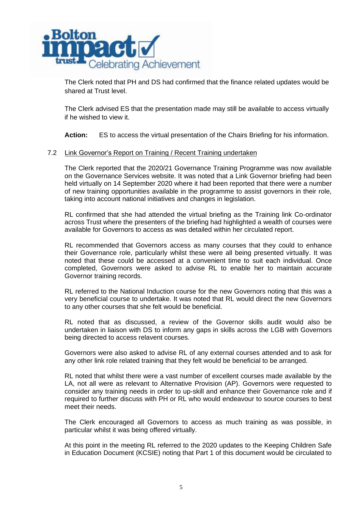

The Clerk noted that PH and DS had confirmed that the finance related updates would be shared at Trust level.

The Clerk advised ES that the presentation made may still be available to access virtually if he wished to view it.

**Action:** ES to access the virtual presentation of the Chairs Briefing for his information.

#### 7.2 Link Governor's Report on Training / Recent Training undertaken

The Clerk reported that the 2020/21 Governance Training Programme was now available on the Governance Services website. It was noted that a Link Governor briefing had been held virtually on 14 September 2020 where it had been reported that there were a number of new training opportunities available in the programme to assist governors in their role, taking into account national initiatives and changes in legislation.

RL confirmed that she had attended the virtual briefing as the Training link Co-ordinator across Trust where the presenters of the briefing had highlighted a wealth of courses were available for Governors to access as was detailed within her circulated report.

RL recommended that Governors access as many courses that they could to enhance their Governance role, particularly whilst these were all being presented virtually. It was noted that these could be accessed at a convenient time to suit each individual. Once completed, Governors were asked to advise RL to enable her to maintain accurate Governor training records.

RL referred to the National Induction course for the new Governors noting that this was a very beneficial course to undertake. It was noted that RL would direct the new Governors to any other courses that she felt would be beneficial.

RL noted that as discussed, a review of the Governor skills audit would also be undertaken in liaison with DS to inform any gaps in skills across the LGB with Governors being directed to access relavent courses.

Governors were also asked to advise RL of any external courses attended and to ask for any other link role related training that they felt would be beneficial to be arranged.

RL noted that whilst there were a vast number of excellent courses made available by the LA, not all were as relevant to Alternative Provision (AP). Governors were requested to consider any training needs in order to up-skill and enhance their Governance role and if required to further discuss with PH or RL who would endeavour to source courses to best meet their needs.

The Clerk encouraged all Governors to access as much training as was possible, in particular whilst it was being offered virtually.

At this point in the meeting RL referred to the 2020 updates to the Keeping Children Safe in Education Document (KCSIE) noting that Part 1 of this document would be circulated to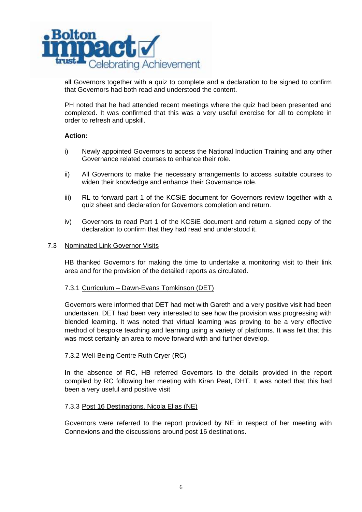

all Governors together with a quiz to complete and a declaration to be signed to confirm that Governors had both read and understood the content.

PH noted that he had attended recent meetings where the quiz had been presented and completed. It was confirmed that this was a very useful exercise for all to complete in order to refresh and upskill.

#### **Action:**

- i) Newly appointed Governors to access the National Induction Training and any other Governance related courses to enhance their role.
- ii) All Governors to make the necessary arrangements to access suitable courses to widen their knowledge and enhance their Governance role.
- iii) RL to forward part 1 of the KCSiE document for Governors review together with a quiz sheet and declaration for Governors completion and return.
- iv) Governors to read Part 1 of the KCSiE document and return a signed copy of the declaration to confirm that they had read and understood it.

#### 7.3 Nominated Link Governor Visits

HB thanked Governors for making the time to undertake a monitoring visit to their link area and for the provision of the detailed reports as circulated.

#### 7.3.1 Curriculum – Dawn-Evans Tomkinson (DET)

Governors were informed that DET had met with Gareth and a very positive visit had been undertaken. DET had been very interested to see how the provision was progressing with blended learning. It was noted that virtual learning was proving to be a very effective method of bespoke teaching and learning using a variety of platforms. It was felt that this was most certainly an area to move forward with and further develop.

### 7.3.2 Well-Being Centre Ruth Cryer (RC)

In the absence of RC, HB referred Governors to the details provided in the report compiled by RC following her meeting with Kiran Peat, DHT. It was noted that this had been a very useful and positive visit

#### 7.3.3 Post 16 Destinations, Nicola Elias (NE)

Governors were referred to the report provided by NE in respect of her meeting with Connexions and the discussions around post 16 destinations.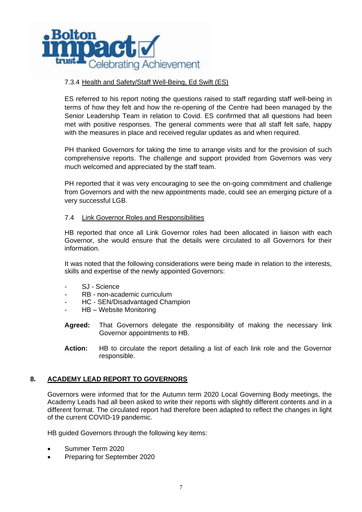

# 7.3.4 Health and Safety/Staff Well-Being, Ed Swift (ES)

ES referred to his report noting the questions raised to staff regarding staff well-being in terms of how they felt and how the re-opening of the Centre had been managed by the Senior Leadership Team in relation to Covid. ES confirmed that all questions had been met with positive responses. The general comments were that all staff felt safe, happy with the measures in place and received regular updates as and when required.

PH thanked Governors for taking the time to arrange visits and for the provision of such comprehensive reports. The challenge and support provided from Governors was very much welcomed and appreciated by the staff team.

PH reported that it was very encouraging to see the on-going commitment and challenge from Governors and with the new appointments made, could see an emerging picture of a very successful LGB.

### 7.4 Link Governor Roles and Responsibilities

HB reported that once all Link Governor roles had been allocated in liaison with each Governor, she would ensure that the details were circulated to all Governors for their information.

It was noted that the following considerations were being made in relation to the interests, skills and expertise of the newly appointed Governors:

- SJ Science
- RB non-academic curriculum
- HC SEN/Disadvantaged Champion
- HB Website Monitoring
- **Agreed:** That Governors delegate the responsibility of making the necessary link Governor appointments to HB.
- **Action:** HB to circulate the report detailing a list of each link role and the Governor responsible.

### **8. ACADEMY LEAD REPORT TO GOVERNORS**

Governors were informed that for the Autumn term 2020 Local Governing Body meetings, the Academy Leads had all been asked to write their reports with slightly different contents and in a different format. The circulated report had therefore been adapted to reflect the changes in light of the current COVID-19 pandemic.

HB guided Governors through the following key items:

- Summer Term 2020
- Preparing for September 2020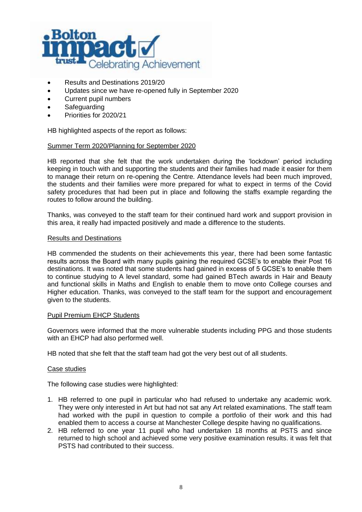

- Results and Destinations 2019/20
- Updates since we have re-opened fully in September 2020
- Current pupil numbers
- Safeguarding
- Priorities for 2020/21

HB highlighted aspects of the report as follows:

### Summer Term 2020/Planning for September 2020

HB reported that she felt that the work undertaken during the 'lockdown' period including keeping in touch with and supporting the students and their families had made it easier for them to manage their return on re-opening the Centre. Attendance levels had been much improved, the students and their families were more prepared for what to expect in terms of the Covid safety procedures that had been put in place and following the staffs example regarding the routes to follow around the building.

Thanks, was conveyed to the staff team for their continued hard work and support provision in this area, it really had impacted positively and made a difference to the students.

#### Results and Destinations

HB commended the students on their achievements this year, there had been some fantastic results across the Board with many pupils gaining the required GCSE's to enable their Post 16 destinations. It was noted that some students had gained in excess of 5 GCSE's to enable them to continue studying to A level standard, some had gained BTech awards in Hair and Beauty and functional skills in Maths and English to enable them to move onto College courses and Higher education. Thanks, was conveyed to the staff team for the support and encouragement given to the students.

#### Pupil Premium EHCP Students

Governors were informed that the more vulnerable students including PPG and those students with an EHCP had also performed well.

HB noted that she felt that the staff team had got the very best out of all students.

#### Case studies

The following case studies were highlighted:

- 1. HB referred to one pupil in particular who had refused to undertake any academic work. They were only interested in Art but had not sat any Art related examinations. The staff team had worked with the pupil in question to compile a portfolio of their work and this had enabled them to access a course at Manchester College despite having no qualifications.
- 2. HB referred to one year 11 pupil who had undertaken 18 months at PSTS and since returned to high school and achieved some very positive examination results. it was felt that PSTS had contributed to their success.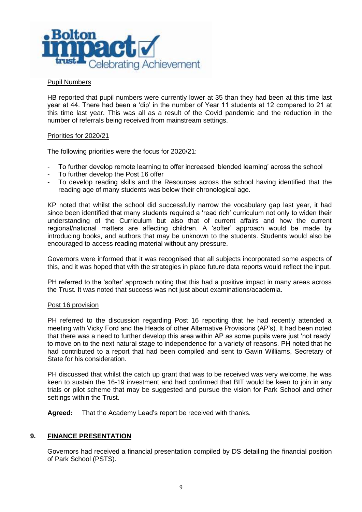

### Pupil Numbers

HB reported that pupil numbers were currently lower at 35 than they had been at this time last year at 44. There had been a 'dip' in the number of Year 11 students at 12 compared to 21 at this time last year. This was all as a result of the Covid pandemic and the reduction in the number of referrals being received from mainstream settings.

#### Priorities for 2020/21

The following priorities were the focus for 2020/21:

- To further develop remote learning to offer increased 'blended learning' across the school
- To further develop the Post 16 offer
- To develop reading skills and the Resources across the school having identified that the reading age of many students was below their chronological age.

KP noted that whilst the school did successfully narrow the vocabulary gap last year, it had since been identified that many students required a 'read rich' curriculum not only to widen their understanding of the Curriculum but also that of current affairs and how the current regional/national matters are affecting children. A 'softer' approach would be made by introducing books, and authors that may be unknown to the students. Students would also be encouraged to access reading material without any pressure.

Governors were informed that it was recognised that all subjects incorporated some aspects of this, and it was hoped that with the strategies in place future data reports would reflect the input.

PH referred to the 'softer' approach noting that this had a positive impact in many areas across the Trust. It was noted that success was not just about examinations/academia.

#### Post 16 provision

PH referred to the discussion regarding Post 16 reporting that he had recently attended a meeting with Vicky Ford and the Heads of other Alternative Provisions (AP's). It had been noted that there was a need to further develop this area within AP as some pupils were just 'not ready' to move on to the next natural stage to independence for a variety of reasons. PH noted that he had contributed to a report that had been compiled and sent to Gavin Williams, Secretary of State for his consideration.

PH discussed that whilst the catch up grant that was to be received was very welcome, he was keen to sustain the 16-19 investment and had confirmed that BIT would be keen to join in any trials or pilot scheme that may be suggested and pursue the vision for Park School and other settings within the Trust.

**Agreed:** That the Academy Lead's report be received with thanks.

### **9. FINANCE PRESENTATION**

Governors had received a financial presentation compiled by DS detailing the financial position of Park School (PSTS).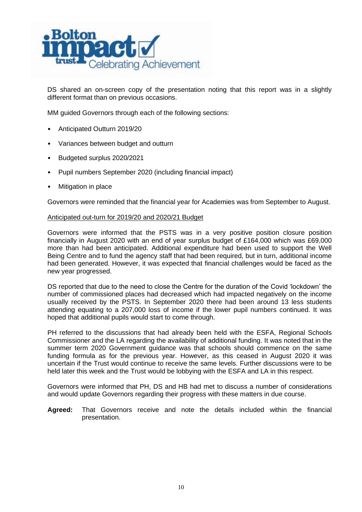

DS shared an on-screen copy of the presentation noting that this report was in a slightly different format than on previous occasions.

MM guided Governors through each of the following sections:

- Anticipated Outturn 2019/20
- Variances between budget and outturn
- Budgeted surplus 2020/2021
- Pupil numbers September 2020 (including financial impact)
- Mitigation in place

Governors were reminded that the financial year for Academies was from September to August.

#### Anticipated out-turn for 2019/20 and 2020/21 Budget

Governors were informed that the PSTS was in a very positive position closure position financially in August 2020 with an end of year surplus budget of £164,000 which was £69,000 more than had been anticipated. Additional expenditure had been used to support the Well Being Centre and to fund the agency staff that had been required, but in turn, additional income had been generated. However, it was expected that financial challenges would be faced as the new year progressed.

DS reported that due to the need to close the Centre for the duration of the Covid 'lockdown' the number of commissioned places had decreased which had impacted negatively on the income usually received by the PSTS. In September 2020 there had been around 13 less students attending equating to a 207,000 loss of income if the lower pupil numbers continued. It was hoped that additional pupils would start to come through.

PH referred to the discussions that had already been held with the ESFA, Regional Schools Commissioner and the LA regarding the availability of additional funding. It was noted that in the summer term 2020 Government guidance was that schools should commence on the same funding formula as for the previous year. However, as this ceased in August 2020 it was uncertain if the Trust would continue to receive the same levels. Further discussions were to be held later this week and the Trust would be lobbying with the ESFA and LA in this respect.

Governors were informed that PH, DS and HB had met to discuss a number of considerations and would update Governors regarding their progress with these matters in due course.

**Agreed:** That Governors receive and note the details included within the financial presentation.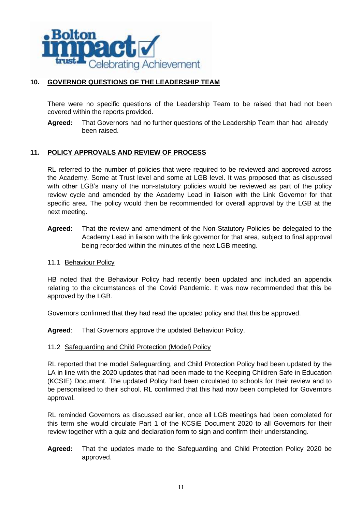

# **10. GOVERNOR QUESTIONS OF THE LEADERSHIP TEAM**

There were no specific questions of the Leadership Team to be raised that had not been covered within the reports provided.

**Agreed:** That Governors had no further questions of the Leadership Team than had already been raised.

# **11. POLICY APPROVALS AND REVIEW OF PROCESS**

RL referred to the number of policies that were required to be reviewed and approved across the Academy. Some at Trust level and some at LGB level. It was proposed that as discussed with other LGB's many of the non-statutory policies would be reviewed as part of the policy review cycle and amended by the Academy Lead in liaison with the Link Governor for that specific area. The policy would then be recommended for overall approval by the LGB at the next meeting.

**Agreed:** That the review and amendment of the Non-Statutory Policies be delegated to the Academy Lead in liaison with the link governor for that area, subject to final approval being recorded within the minutes of the next LGB meeting.

### 11.1 Behaviour Policy

HB noted that the Behaviour Policy had recently been updated and included an appendix relating to the circumstances of the Covid Pandemic. It was now recommended that this be approved by the LGB.

Governors confirmed that they had read the updated policy and that this be approved.

**Agreed**: That Governors approve the updated Behaviour Policy.

### 11.2 Safeguarding and Child Protection (Model) Policy

RL reported that the model Safeguarding, and Child Protection Policy had been updated by the LA in line with the 2020 updates that had been made to the Keeping Children Safe in Education (KCSIE) Document. The updated Policy had been circulated to schools for their review and to be personalised to their school. RL confirmed that this had now been completed for Governors approval.

RL reminded Governors as discussed earlier, once all LGB meetings had been completed for this term she would circulate Part 1 of the KCSiE Document 2020 to all Governors for their review together with a quiz and declaration form to sign and confirm their understanding.

**Agreed:** That the updates made to the Safeguarding and Child Protection Policy 2020 be approved.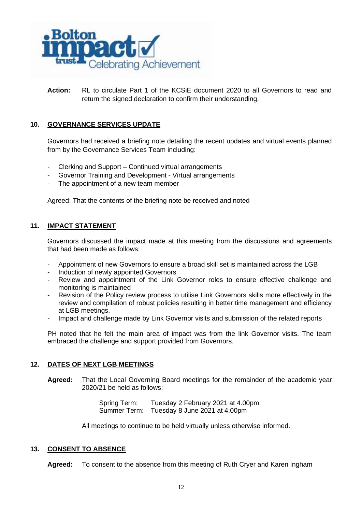

**Action:** RL to circulate Part 1 of the KCSiE document 2020 to all Governors to read and return the signed declaration to confirm their understanding.

# **10. GOVERNANCE SERVICES UPDATE**

Governors had received a briefing note detailing the recent updates and virtual events planned from by the Governance Services Team including:

- Clerking and Support Continued virtual arrangements
- Governor Training and Development Virtual arrangements
- The appointment of a new team member

Agreed: That the contents of the briefing note be received and noted

### **11. IMPACT STATEMENT**

Governors discussed the impact made at this meeting from the discussions and agreements that had been made as follows:

- Appointment of new Governors to ensure a broad skill set is maintained across the LGB
- Induction of newly appointed Governors
- Review and appointment of the Link Governor roles to ensure effective challenge and monitoring is maintained
- Revision of the Policy review process to utilise Link Governors skills more effectively in the review and compilation of robust policies resulting in better time management and efficiency at LGB meetings.
- Impact and challenge made by Link Governor visits and submission of the related reports

PH noted that he felt the main area of impact was from the link Governor visits. The team embraced the challenge and support provided from Governors.

### **12. DATES OF NEXT LGB MEETINGS**

**Agreed:** That the Local Governing Board meetings for the remainder of the academic year 2020/21 be held as follows:

> Spring Term: Tuesday 2 February 2021 at 4.00pm Summer Term: Tuesday 8 June 2021 at 4.00pm

All meetings to continue to be held virtually unless otherwise informed.

#### **13. CONSENT TO ABSENCE**

**Agreed:** To consent to the absence from this meeting of Ruth Cryer and Karen Ingham